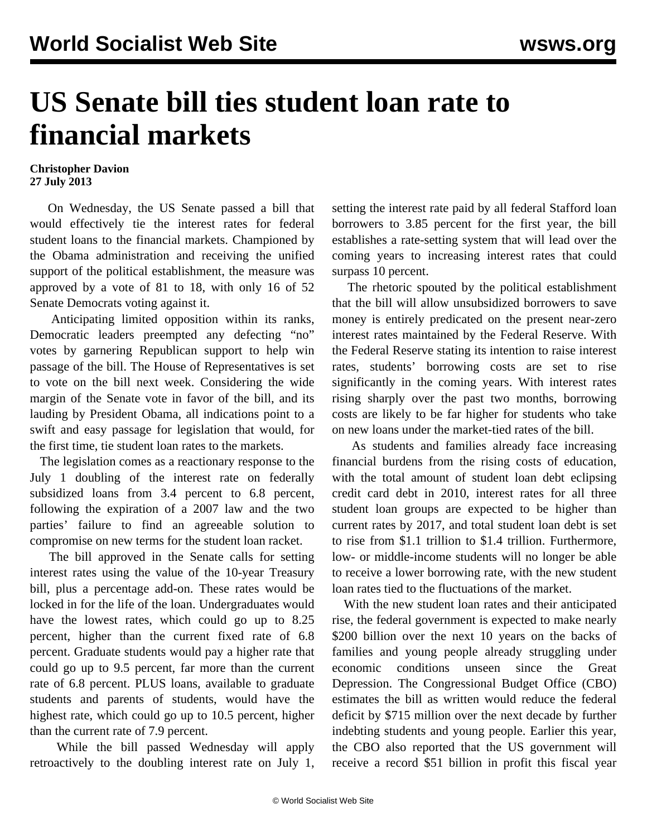## **US Senate bill ties student loan rate to financial markets**

## **Christopher Davion 27 July 2013**

 On Wednesday, the US Senate passed a bill that would effectively tie the interest rates for federal student loans to the financial markets. Championed by the Obama administration and receiving the unified support of the political establishment, the measure was approved by a vote of 81 to 18, with only 16 of 52 Senate Democrats voting against it.

 Anticipating limited opposition within its ranks, Democratic leaders preempted any defecting "no" votes by garnering Republican support to help win passage of the bill. The House of Representatives is set to vote on the bill next week. Considering the wide margin of the Senate vote in favor of the bill, and its lauding by President Obama, all indications point to a swift and easy passage for legislation that would, for the first time, tie student loan rates to the markets.

 The legislation comes as a reactionary response to the July 1 doubling of the interest rate on federally subsidized loans from 3.4 percent to 6.8 percent, following the expiration of a 2007 law and the two parties' failure to find an agreeable solution to compromise on new terms for the student loan racket.

 The bill approved in the Senate calls for setting interest rates using the value of the 10-year Treasury bill, plus a percentage add-on. These rates would be locked in for the life of the loan. Undergraduates would have the lowest rates, which could go up to 8.25 percent, higher than the current fixed rate of 6.8 percent. Graduate students would pay a higher rate that could go up to 9.5 percent, far more than the current rate of 6.8 percent. PLUS loans, available to graduate students and parents of students, would have the highest rate, which could go up to 10.5 percent, higher than the current rate of 7.9 percent.

 While the bill passed Wednesday will apply retroactively to the doubling interest rate on July 1, setting the interest rate paid by all federal Stafford loan borrowers to 3.85 percent for the first year, the bill establishes a rate-setting system that will lead over the coming years to increasing interest rates that could surpass 10 percent.

 The rhetoric spouted by the political establishment that the bill will allow unsubsidized borrowers to save money is entirely predicated on the present near-zero interest rates maintained by the Federal Reserve. With the Federal Reserve stating its intention to raise interest rates, students' borrowing costs are set to rise significantly in the coming years. With interest rates rising sharply over the past two months, borrowing costs are likely to be far higher for students who take on new loans under the market-tied rates of the bill.

 As students and families already face increasing financial burdens from the rising costs of education, with the total amount of student loan debt eclipsing credit card debt in 2010, interest rates for all three student loan groups are expected to be higher than current rates by 2017, and total student loan debt is set to rise from \$1.1 trillion to \$1.4 trillion. Furthermore, low- or middle-income students will no longer be able to receive a lower borrowing rate, with the new student loan rates tied to the fluctuations of the market.

 With the new student loan rates and their anticipated rise, the federal government is expected to make nearly \$200 billion over the next 10 years on the backs of families and young people already struggling under economic conditions unseen since the Great Depression. The Congressional Budget Office (CBO) estimates the bill as written would reduce the federal deficit by \$715 million over the next decade by further indebting students and young people. Earlier this year, the CBO also reported that the US government will receive a record \$51 billion in profit this fiscal year